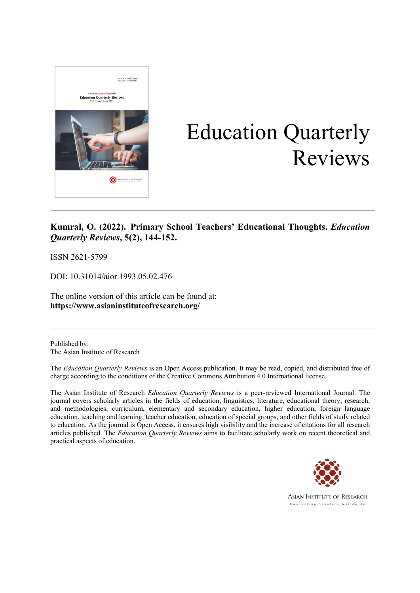

# Education Quarterly Reviews

### **Kumral, O. (2022). Primary School Teachers' Educational Thoughts.** *Education Quarterly Reviews***, 5(2), 144-152.**

ISSN 2621-5799

DOI: 10.31014/aior.1993.05.02.476

The online version of this article can be found at: **https://www.asianinstituteofresearch.org/**

Published by: The Asian Institute of Research

The *Education Quarterly Reviews* is an Open Access publication. It may be read, copied, and distributed free of charge according to the conditions of the Creative Commons Attribution 4.0 International license.

The Asian Institute of Research *Education Quarterly Reviews* is a peer-reviewed International Journal. The journal covers scholarly articles in the fields of education, linguistics, literature, educational theory, research, and methodologies, curriculum, elementary and secondary education, higher education, foreign language education, teaching and learning, teacher education, education of special groups, and other fields of study related to education. As the journal is Open Access, it ensures high visibility and the increase of citations for all research articles published. The *Education Quarterly Reviews* aims to facilitate scholarly work on recent theoretical and practical aspects of education.

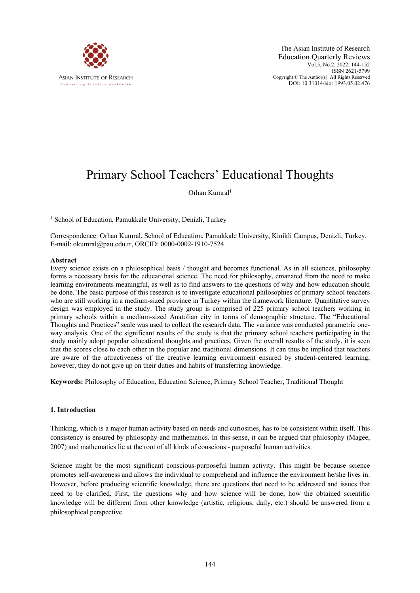

## Primary School Teachers' Educational Thoughts

#### Orhan Kumral<sup>1</sup>

<sup>1</sup> School of Education, Pamukkale University, Denizli, Turkey

Correspondence: Orhan Kumral, School of Education, Pamukkale University, Kinikli Campus, Denizli, Turkey. E-mail: okumral@pau.edu.tr, ORCID: 0000-0002-1910-7524

#### **Abstract**

Every science exists on a philosophical basis / thought and becomes functional. As in all sciences, philosophy forms a necessary basis for the educational science. The need for philosophy, emanated from the need to make learning environments meaningful, as well as to find answers to the questions of why and how education should be done. The basic purpose of this research is to investigate educational philosophies of primary school teachers who are still working in a medium-sized province in Turkey within the framework literature. Quantitative survey design was employed in the study. The study group is comprised of 225 primary school teachers working in primary schools within a medium-sized Anatolian city in terms of demographic structure. The "Educational Thoughts and Practices" scale was used to collect the research data. The variance was conducted parametric oneway analysis. One of the significant results of the study is that the primary school teachers participating in the study mainly adopt popular educational thoughts and practices. Given the overall results of the study, it is seen that the scores close to each other in the popular and traditional dimensions. It can thus be implied that teachers are aware of the attractiveness of the creative learning environment ensured by student-centered learning, however, they do not give up on their duties and habits of transferring knowledge.

**Keywords:** Philosophy of Education, Education Science, Primary School Teacher, Traditional Thought

#### **1. Introduction**

Thinking, which is a major human activity based on needs and curiosities, has to be consistent within itself. This consistency is ensured by philosophy and mathematics. In this sense, it can be argued that philosophy (Magee, 2007) and mathematics lie at the root of all kinds of conscious - purposeful human activities.

Science might be the most significant conscious-purposeful human activity. This might be because science promotes self-awareness and allows the individual to comprehend and influence the environment he/she lives in. However, before producing scientific knowledge, there are questions that need to be addressed and issues that need to be clarified. First, the questions why and how science will be done, how the obtained scientific knowledge will be different from other knowledge (artistic, religious, daily, etc.) should be answered from a philosophical perspective.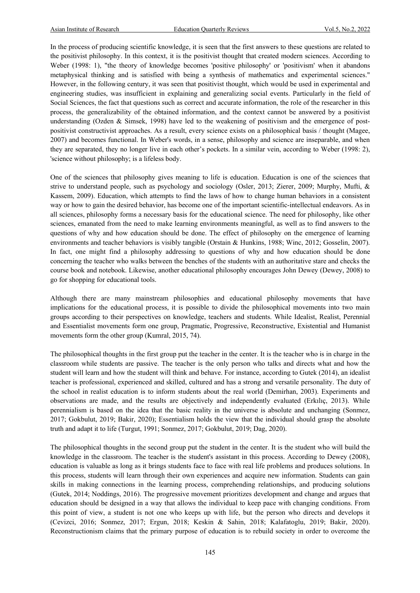In the process of producing scientific knowledge, it is seen that the first answers to these questions are related to the positivist philosophy. In this context, it is the positivist thought that created modern sciences. According to Weber (1998: 1), "the theory of knowledge becomes 'positive philosophy' or 'positivism' when it abandons metaphysical thinking and is satisfied with being a synthesis of mathematics and experimental sciences." However, in the following century, it was seen that positivist thought, which would be used in experimental and engineering studies, was insufficient in explaining and generalizing social events. Particularly in the field of Social Sciences, the fact that questions such as correct and accurate information, the role of the researcher in this process, the generalizability of the obtained information, and the context cannot be answered by a positivist understanding (Ozden & Simsek, 1998) have led to the weakening of positivism and the emergence of postpositivist constructivist approaches. As a result, every science exists on a philosophical basis / thought (Magee, 2007) and becomes functional. In Weber's words, in a sense, philosophy and science are inseparable, and when they are separated, they no longer live in each other's pockets. In a similar vein, according to Weber (1998: 2), 'science without philosophy; is a lifeless body.

One of the sciences that philosophy gives meaning to life is education. Education is one of the sciences that strive to understand people, such as psychology and sociology (Osler, 2013; Zierer, 2009; Murphy, Mufti, & Kassem, 2009). Education, which attempts to find the laws of how to change human behaviors in a consistent way or how to gain the desired behavior, has become one of the important scientific-intellectual endeavors. As in all sciences, philosophy forms a necessary basis for the educational science. The need for philosophy, like other sciences, emanated from the need to make learning environments meaningful, as well as to find answers to the questions of why and how education should be done. The effect of philosophy on the emergence of learning environments and teacher behaviors is visibly tangible (Orstain & Hunkins, 1988; Winc, 2012; Gosselin, 2007). In fact, one might find a philosophy addressing to questions of why and how education should be done concerning the teacher who walks between the benches of the students with an authoritative stare and checks the course book and notebook. Likewise, another educational philosophy encourages John Dewey (Dewey, 2008) to go for shopping for educational tools.

Although there are many mainstream philosophies and educational philosophy movements that have implications for the educational process, it is possible to divide the philosophical movements into two main groups according to their perspectives on knowledge, teachers and students. While Idealist, Realist, Perennial and Essentialist movements form one group, Pragmatic, Progressive, Reconstructive, Existential and Humanist movements form the other group (Kumral, 2015, 74).

The philosophical thoughts in the first group put the teacher in the center. It is the teacher who is in charge in the classroom while students are passive. The teacher is the only person who talks and directs what and how the student will learn and how the student will think and behave. For instance, according to Gutek (2014), an idealist teacher is professional, experienced and skilled, cultured and has a strong and versatile personality. The duty of the school in realist education is to inform students about the real world (Demirhan, 2003). Experiments and observations are made, and the results are objectively and independently evaluated (Erkılıç, 2013). While perennialism is based on the idea that the basic reality in the universe is absolute and unchanging (Sonmez, 2017; Gokbulut, 2019; Bakir, 2020); Essentialism holds the view that the individual should grasp the absolute truth and adapt it to life (Turgut, 1991; Sonmez, 2017; Gokbulut, 2019; Dag, 2020).

The philosophical thoughts in the second group put the student in the center. It is the student who will build the knowledge in the classroom. The teacher is the student's assistant in this process. According to Dewey (2008), education is valuable as long as it brings students face to face with real life problems and produces solutions. In this process, students will learn through their own experiences and acquire new information. Students can gain skills in making connections in the learning process, comprehending relationships, and producing solutions (Gutek, 2014; Noddings, 2016). The progressive movement prioritizes development and change and argues that education should be designed in a way that allows the individual to keep pace with changing conditions. From this point of view, a student is not one who keeps up with life, but the person who directs and develops it (Cevizci, 2016; Sonmez, 2017; Ergun, 2018; Keskin & Sahin, 2018; Kalafatoglu, 2019; Bakir, 2020). Reconstructionism claims that the primary purpose of education is to rebuild society in order to overcome the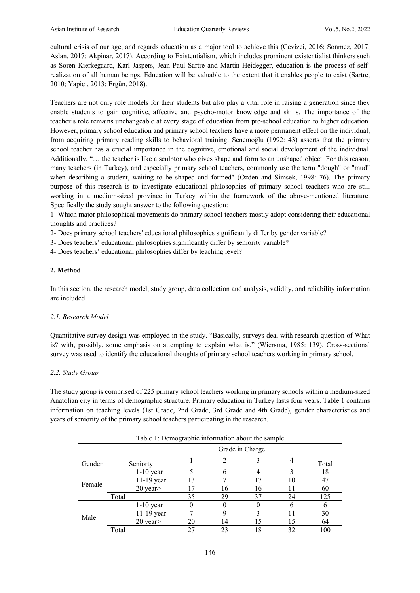cultural crisis of our age, and regards education as a major tool to achieve this (Cevizci, 2016; Sonmez, 2017; Aslan, 2017; Akpinar, 2017). According to Existentialism, which includes prominent existentialist thinkers such as Soren Kierkegaard, Karl Jaspers, Jean Paul Sartre and Martin Heidegger, education is the process of selfrealization of all human beings. Education will be valuable to the extent that it enables people to exist (Sartre, 2010; Yapici, 2013; Ergün, 2018).

Teachers are not only role models for their students but also play a vital role in raising a generation since they enable students to gain cognitive, affective and psycho-motor knowledge and skills. The importance of the teacher's role remains unchangeable at every stage of education from pre-school education to higher education. However, primary school education and primary school teachers have a more permanent effect on the individual, from acquiring primary reading skills to behavioral training. Senemoğlu (1992: 43) asserts that the primary school teacher has a crucial importance in the cognitive, emotional and social development of the individual. Additionally, "… the teacher is like a sculptor who gives shape and form to an unshaped object. For this reason, many teachers (in Turkey), and especially primary school teachers, commonly use the term "dough" or "mud" when describing a student, waiting to be shaped and formed" (Ozden and Simsek, 1998: 76). The primary purpose of this research is to investigate educational philosophies of primary school teachers who are still working in a medium-sized province in Turkey within the framework of the above-mentioned literature. Specifically the study sought answer to the following question:

1- Which major philosophical movements do primary school teachers mostly adopt considering their educational thoughts and practices?

2- Does primary school teachers' educational philosophies significantly differ by gender variable?

3- Does teachers' educational philosophies significantly differ by seniority variable?

4- Does teachers' educational philosophies differ by teaching level?

#### **2. Method**

In this section, the research model, study group, data collection and analysis, validity, and reliability information are included.

#### *2.1. Research Model*

Quantitative survey design was employed in the study. "Basically, surveys deal with research question of What is? with, possibly, some emphasis on attempting to explain what is." (Wiersma, 1985: 139). Cross-sectional survey was used to identify the educational thoughts of primary school teachers working in primary school.

#### *2.2. Study Group*

The study group is comprised of 225 primary school teachers working in primary schools within a medium-sized Anatolian city in terms of demographic structure. Primary education in Turkey lasts four years. Table 1 contains information on teaching levels (1st Grade, 2nd Grade, 3rd Grade and 4th Grade), gender characteristics and years of seniority of the primary school teachers participating in the research.

| Table 1: Demographic information about the sample |       |               |    |                 |    |    |       |  |  |  |
|---------------------------------------------------|-------|---------------|----|-----------------|----|----|-------|--|--|--|
|                                                   |       |               |    | Grade in Charge |    |    |       |  |  |  |
| Gender                                            |       | Seniorty      |    |                 |    |    | Total |  |  |  |
|                                                   |       | $1-10$ year   |    |                 |    |    | 18    |  |  |  |
|                                                   |       | $11-19$ year  | 13 |                 |    | 10 | 47    |  |  |  |
| Female                                            |       | $20$ year $>$ | 17 | 16              | 16 |    | 60    |  |  |  |
|                                                   | Total |               | 35 | 29              | 37 | 24 | 125   |  |  |  |
| Male                                              |       | $1-10$ year   |    |                 |    |    |       |  |  |  |
|                                                   |       | $11-19$ year  |    |                 |    | 11 | 30    |  |  |  |
|                                                   |       | $20$ year $>$ | 20 | 14              | 15 | 15 | 64    |  |  |  |
|                                                   | Total |               | 27 | 23              | 18 | 32 | 100   |  |  |  |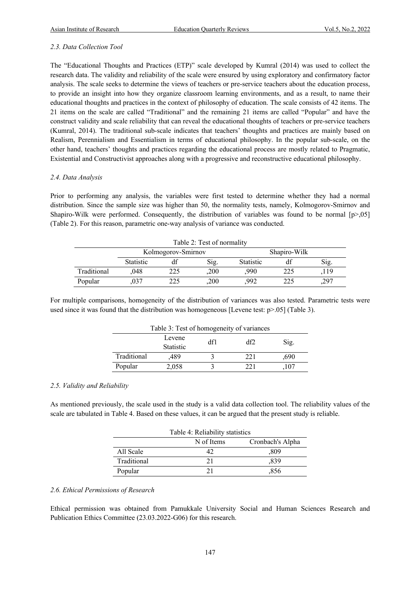#### *2.3. Data Collection Tool*

The "Educational Thoughts and Practices (ETP)" scale developed by Kumral (2014) was used to collect the research data. The validity and reliability of the scale were ensured by using exploratory and confirmatory factor analysis. The scale seeks to determine the views of teachers or pre-service teachers about the education process, to provide an insight into how they organize classroom learning environments, and as a result, to name their educational thoughts and practices in the context of philosophy of education. The scale consists of 42 items. The 21 items on the scale are called "Traditional" and the remaining 21 items are called "Popular" and have the construct validity and scale reliability that can reveal the educational thoughts of teachers or pre-service teachers (Kumral, 2014). The traditional sub-scale indicates that teachers' thoughts and practices are mainly based on Realism, Perennialism and Essentialism in terms of educational philosophy. In the popular sub-scale, on the other hand, teachers' thoughts and practices regarding the educational process are mostly related to Pragmatic, Existential and Constructivist approaches along with a progressive and reconstructive educational philosophy.

#### *2.4. Data Analysis*

Prior to performing any analysis, the variables were first tested to determine whether they had a normal distribution. Since the sample size was higher than 50, the normality tests, namely, Kolmogorov-Smirnov and Shapiro-Wilk were performed. Consequently, the distribution of variables was found to be normal  $[p>0.05]$ (Table 2). For this reason, parametric one-way analysis of variance was conducted.

| Table 2: Test of normality |                  |                    |      |                  |     |      |  |  |  |
|----------------------------|------------------|--------------------|------|------------------|-----|------|--|--|--|
|                            |                  | Kolmogorov-Smirnov |      | Shapiro-Wilk     |     |      |  |  |  |
|                            | <b>Statistic</b> |                    | Sig. | <b>Statistic</b> |     | Sig. |  |  |  |
| Traditional                | .048             | 225                | .200 | .990             | 225 | 119  |  |  |  |
| Popular                    |                  | 225                | ,200 | 992              | 225 | ,297 |  |  |  |

For multiple comparisons, homogeneity of the distribution of variances was also tested. Parametric tests were used since it was found that the distribution was homogeneous [Levene test:  $p > .05$ ] (Table 3).

| Table 3: Test of homogeneity of variances |                  |  |     |      |  |  |  |  |
|-------------------------------------------|------------------|--|-----|------|--|--|--|--|
| Levene<br>df1<br>df2<br>Sig.              |                  |  |     |      |  |  |  |  |
|                                           | <b>Statistic</b> |  |     |      |  |  |  |  |
| Traditional                               | .489             |  | 221 | .690 |  |  |  |  |
| Popular                                   | 2,058            |  |     | .107 |  |  |  |  |

#### *2.5. Validity and Reliability*

As mentioned previously, the scale used in the study is a valid data collection tool. The reliability values of the scale are tabulated in Table 4. Based on these values, it can be argued that the present study is reliable.

| Table 4: Reliability statistics |  |      |  |  |  |  |  |
|---------------------------------|--|------|--|--|--|--|--|
| Cronbach's Alpha<br>N of Items  |  |      |  |  |  |  |  |
| All Scale                       |  | .809 |  |  |  |  |  |
| Traditional                     |  | ,839 |  |  |  |  |  |
| Popular                         |  | .856 |  |  |  |  |  |

#### *2.6. Ethical Permissions of Research*

Ethical permission was obtained from Pamukkale University Social and Human Sciences Research and Publication Ethics Committee (23.03.2022-G06) for this research.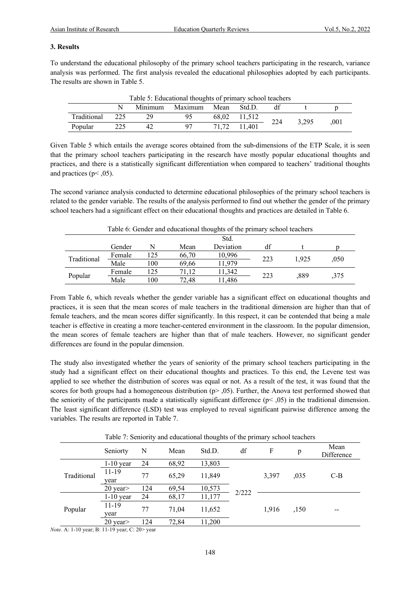#### **3. Results**

To understand the educational philosophy of the primary school teachers participating in the research, variance analysis was performed. The first analysis revealed the educational philosophies adopted by each participants. The results are shown in Table 5.

| Table 5: Educational thoughts of primary school teachers |       |         |         |      |              |     |       |          |  |  |
|----------------------------------------------------------|-------|---------|---------|------|--------------|-----|-------|----------|--|--|
|                                                          |       | Minimum | Maximum | Mean | Std.D.       | df  |       |          |  |  |
| Traditional                                              | - 225 |         |         |      | 68,02 11,512 | 224 | 3.295 | $.001\,$ |  |  |
| Popular                                                  |       | 42      |         |      | 71,72 11,401 |     |       |          |  |  |

Given Table 5 which entails the average scores obtained from the sub-dimensions of the ETP Scale, it is seen that the primary school teachers participating in the research have mostly popular educational thoughts and practices, and there is a statistically significant differentiation when compared to teachers' traditional thoughts and practices ( $p$ < ,05).

The second variance analysis conducted to determine educational philosophies of the primary school teachers is related to the gender variable. The results of the analysis performed to find out whether the gender of the primary school teachers had a significant effect on their educational thoughts and practices are detailed in Table 6.

| Table 6: Gender and educational thoughts of the primary school teachers |        |     |       |           |     |       |      |  |  |
|-------------------------------------------------------------------------|--------|-----|-------|-----------|-----|-------|------|--|--|
|                                                                         | Std.   |     |       |           |     |       |      |  |  |
|                                                                         | Gender | N   | Mean  | Deviation | df  |       |      |  |  |
| Traditional                                                             | Female | 125 | 66,70 | 10,996    | 223 | 1.925 | ,050 |  |  |
|                                                                         | Male   | 100 | 69.66 | 11.979    |     |       |      |  |  |
| Popular                                                                 | Female | 125 | 71.12 | 11,342    | 223 | .889  |      |  |  |
|                                                                         | Male   | 100 | 72.48 | 11,486    |     |       | ,375 |  |  |

From Table 6, which reveals whether the gender variable has a significant effect on educational thoughts and practices, it is seen that the mean scores of male teachers in the traditional dimension are higher than that of female teachers, and the mean scores differ significantly. In this respect, it can be contended that being a male teacher is effective in creating a more teacher-centered environment in the classroom. In the popular dimension, the mean scores of female teachers are higher than that of male teachers. However, no significant gender differences are found in the popular dimension.

The study also investigated whether the years of seniority of the primary school teachers participating in the study had a significant effect on their educational thoughts and practices. To this end, the Levene test was applied to see whether the distribution of scores was equal or not. As a result of the test, it was found that the scores for both groups had a homogeneous distribution  $(p>0.5)$ . Further, the Anova test performed showed that the seniority of the participants made a statistically significant difference ( $p$ < ,05) in the traditional dimension. The least significant difference (LSD) test was employed to reveal significant pairwise difference among the variables. The results are reported in Table 7.

Table 7: Seniority and educational thoughts of the primary school teachers

|             | Seniorty          | N   | Mean  | Std.D. | df    | F     | p    | Mean<br>Difference |
|-------------|-------------------|-----|-------|--------|-------|-------|------|--------------------|
| Traditional | $1-10$ year       | 24  | 68,92 | 13,803 |       | 3,397 | ,035 | $C-B$              |
|             | $11 - 19$<br>year | 77  | 65,29 | 11,849 |       |       |      |                    |
|             | 20 year>          | 124 | 69,54 | 10,573 | 2/222 |       |      |                    |
|             | $1-10$ year       | 24  | 68,17 | 11,177 |       |       |      |                    |
| Popular     | 11-19<br>year     | 77  | 71.04 | 11,652 |       | 1.916 | ,150 | --                 |
|             | 20 year>          | 124 | 72,84 | 11,200 |       |       |      |                    |

*Note.* A: 1-10 year; B: 11-19 year; C: 20> year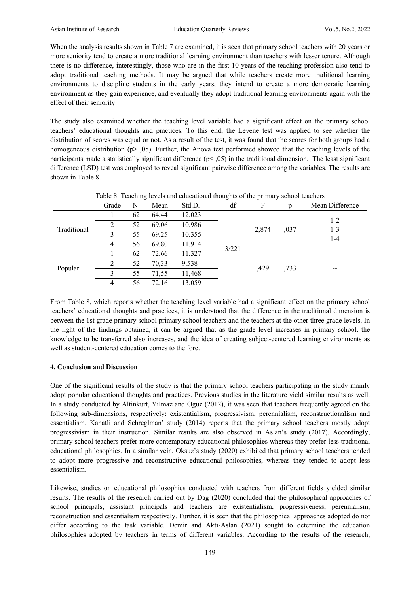When the analysis results shown in Table 7 are examined, it is seen that primary school teachers with 20 years or more seniority tend to create a more traditional learning environment than teachers with lesser tenure. Although there is no difference, interestingly, those who are in the first 10 years of the teaching profession also tend to adopt traditional teaching methods. It may be argued that while teachers create more traditional learning environments to discipline students in the early years, they intend to create a more democratic learning environment as they gain experience, and eventually they adopt traditional learning environments again with the effect of their seniority.

The study also examined whether the teaching level variable had a significant effect on the primary school teachers' educational thoughts and practices. To this end, the Levene test was applied to see whether the distribution of scores was equal or not. As a result of the test, it was found that the scores for both groups had a homogeneous distribution (p>,05). Further, the Anova test performed showed that the teaching levels of the participants made a statistically significant difference  $(p< 0.05)$  in the traditional dimension. The least significant difference (LSD) test was employed to reveal significant pairwise difference among the variables. The results are shown in Table 8.

| Table 8: Teaching levels and educational thoughts of the primary school teachers |               |    |       |        |       |               |      |                           |  |  |
|----------------------------------------------------------------------------------|---------------|----|-------|--------|-------|---------------|------|---------------------------|--|--|
|                                                                                  | Grade         | N  | Mean  | Std.D. | df    | F             | p    | Mean Difference           |  |  |
|                                                                                  |               | 62 | 64,44 | 12,023 |       |               |      |                           |  |  |
| Traditional                                                                      |               | 52 | 69,06 | 10,986 |       | 2,874<br>,429 | ,037 | $1 - 2$<br>$1 - 3$<br>1-4 |  |  |
|                                                                                  |               | 55 | 69,25 | 10,355 |       |               |      |                           |  |  |
|                                                                                  | 4             | 56 | 69,80 | 11,914 | 3/221 |               |      |                           |  |  |
| Popular                                                                          |               | 62 | 72,66 | 11,327 |       |               | ,733 | --                        |  |  |
|                                                                                  | $\mathcal{L}$ | 52 | 70,33 | 9,538  |       |               |      |                           |  |  |
|                                                                                  | 3             | 55 | 71,55 | 11,468 |       |               |      |                           |  |  |
|                                                                                  | 4             | 56 | 72,16 | 13,059 |       |               |      |                           |  |  |

Table 8: Teaching levels and educational thoughts of the primary school teachers

From Table 8, which reports whether the teaching level variable had a significant effect on the primary school teachers' educational thoughts and practices, it is understood that the difference in the traditional dimension is between the 1st grade primary school primary school teachers and the teachers at the other three grade levels. In the light of the findings obtained, it can be argued that as the grade level increases in primary school, the knowledge to be transferred also increases, and the idea of creating subject-centered learning environments as well as student-centered education comes to the fore.

#### **4. Conclusion and Discussion**

One of the significant results of the study is that the primary school teachers participating in the study mainly adopt popular educational thoughts and practices. Previous studies in the literature yield similar results as well. In a study conducted by Altinkurt, Yilmaz and Oguz (2012), it was seen that teachers frequently agreed on the following sub-dimensions, respectively: existentialism, progressivism, perennialism, reconstructionalism and essentialism. Kanatli and Schreglman' study (2014) reports that the primary school teachers mostly adopt progressivism in their instruction. Similar results are also observed in Aslan's study (2017). Accordingly, primary school teachers prefer more contemporary educational philosophies whereas they prefer less traditional educational philosophies. In a similar vein, Oksuz's study (2020) exhibited that primary school teachers tended to adopt more progressive and reconstructive educational philosophies, whereas they tended to adopt less essentialism.

Likewise, studies on educational philosophies conducted with teachers from different fields yielded similar results. The results of the research carried out by Dag (2020) concluded that the philosophical approaches of school principals, assistant principals and teachers are existentialism, progressiveness, perennialism, reconstruction and essentialism respectively. Further, it is seen that the philosophical approaches adopted do not differ according to the task variable. Demir and Aktı-Aslan (2021) sought to determine the education philosophies adopted by teachers in terms of different variables. According to the results of the research,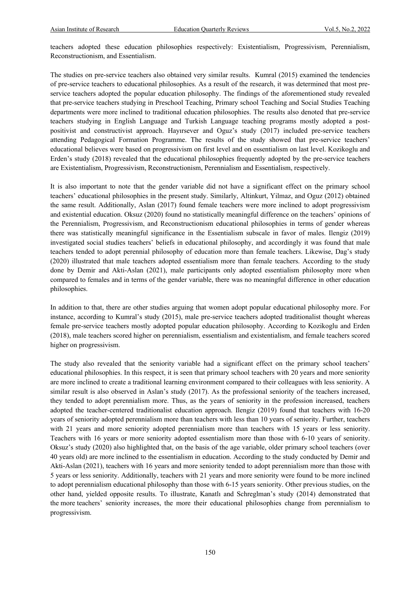teachers adopted these education philosophies respectively: Existentialism, Progressivism, Perennialism, Reconstructionism, and Essentialism.

The studies on pre-service teachers also obtained very similar results. Kumral (2015) examined the tendencies of pre-service teachers to educational philosophies. As a result of the research, it was determined that most preservice teachers adopted the popular education philosophy. The findings of the aforementioned study revealed that pre-service teachers studying in Preschool Teaching, Primary school Teaching and Social Studies Teaching departments were more inclined to traditional education philosophies. The results also denoted that pre-service teachers studying in English Language and Turkish Language teaching programs mostly adopted a postpositivist and constructivist approach. Hayırsever and Oguz's study (2017) included pre-service teachers attending Pedagogical Formation Programme. The results of the study showed that pre-service teachers' educational believes were based on progressivism on first level and on essentialism on last level. Kozikoglu and Erden's study (2018) revealed that the educational philosophies frequently adopted by the pre-service teachers are Existentialism, Progressivism, Reconstructionism, Perennialism and Essentialism, respectively.

It is also important to note that the gender variable did not have a significant effect on the primary school teachers' educational philosophies in the present study. Similarly, Altinkurt, Yilmaz, and Oguz (2012) obtained the same result. Additionally, Aslan (2017) found female teachers were more inclined to adopt progressivism and existential education. Oksuz (2020) found no statistically meaningful difference on the teachers' opinions of the Perennialism, Progressivism, and Reconstructionism educational philosophies in terms of gender whereas there was statistically meaningful significance in the Essentialism subscale in favor of males. Ilengiz (2019) investigated social studies teachers' beliefs in educational philosophy, and accordingly it was found that male teachers tended to adopt perennial philosophy of education more than female teachers. Likewise, Dag's study (2020) illustrated that male teachers adopted essentialism more than female teachers. According to the study done by Demir and Akti-Aslan (2021), male participants only adopted essentialism philosophy more when compared to females and in terms of the gender variable, there was no meaningful difference in other education philosophies.

In addition to that, there are other studies arguing that women adopt popular educational philosophy more. For instance, according to Kumral's study (2015), male pre-service teachers adopted traditionalist thought whereas female pre-service teachers mostly adopted popular education philosophy. According to Kozikoglu and Erden (2018), male teachers scored higher on perennialism, essentialism and existentialism, and female teachers scored higher on progressivism.

The study also revealed that the seniority variable had a significant effect on the primary school teachers' educational philosophies. In this respect, it is seen that primary school teachers with 20 years and more seniority are more inclined to create a traditional learning environment compared to their colleagues with less seniority. A similar result is also observed in Aslan's study (2017). As the professional seniority of the teachers increased, they tended to adopt perennialism more. Thus, as the years of seniority in the profession increased, teachers adopted the teacher-centered traditionalist education approach. Ilengiz (2019) found that teachers with 16-20 years of seniority adopted perennialism more than teachers with less than 10 years of seniority. Further, teachers with 21 years and more seniority adopted perennialism more than teachers with 15 years or less seniority. Teachers with 16 years or more seniority adopted essentialism more than those with 6-10 years of seniority. Oksuz's study (2020) also highlighted that, on the basis of the age variable, older primary school teachers (over 40 years old) are more inclined to the essentialism in education. According to the study conducted by Demir and Akti-Aslan (2021), teachers with 16 years and more seniority tended to adopt perennialism more than those with 5 years or less seniority. Additionally, teachers with 21 years and more seniority were found to be more inclined to adopt perennialism educational philosophy than those with 6-15 years seniority. Other previous studies, on the other hand, yielded opposite results. To illustrate, Kanatlı and Schreglman's study (2014) demonstrated that the more teachers' seniority increases, the more their educational philosophies change from perennialism to progressivism.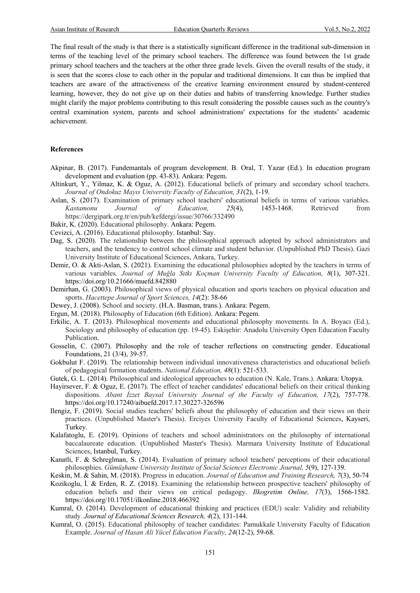The final result of the study is that there is a statistically significant difference in the traditional sub-dimension in terms of the teaching level of the primary school teachers. The difference was found between the 1st grade primary school teachers and the teachers at the other three grade levels. Given the overall results of the study, it is seen that the scores close to each other in the popular and traditional dimensions. It can thus be implied that teachers are aware of the attractiveness of the creative learning environment ensured by student-centered learning, however, they do not give up on their duties and habits of transferring knowledge. Further studies might clarify the major problems contributing to this result considering the possible causes such as the country's central examination system, parents and school administrations' expectations for the students' academic achievement.

#### **References**

- Akpinar, B. (2017). Fundemantals of program development. B. Oral, T. Yazar (Ed.). In education program development and evaluation (pp. 43-83). Ankara: Pegem.
- Altinkurt, Y., Yilmaz, K. & Oguz, A. (2012). Educational beliefs of primary and secondary school teachers. *Journal of Ondokuz Mayıs University Faculty of Education, 31*(2), 1-19.
- Aslan, S. (2017). Examination of primary school teachers' educational beliefs in terms of various variables. *Kastamonu Journal of Education, 25*(4), 1453-1468. Retrieved from https://dergipark.org.tr/en/pub/kefdergi/issue/30766/332490

Bakir, K. (2020). Educational philosophy. Ankara: Pegem.

- Cevizci, A. (2016). Educational philosophy. Istanbul: Say.
- Dag, S. (2020). The relationship between the philosophical approach adopted by school administrators and teachers, and the tendency to control school climate and student behavior. (Unpublished PhD Thesis). Gazi University Institute of Educational Sciences, Ankara, Turkey.
- Demir, O. & Akti-Aslan, S. (2021). Examining the educational philosophies adopted by the teachers in terms of various variables. *Journal of Muğla Sıtkı Koçman University Faculty of Education, 8*(1), 307-321. https://doi.org/10.21666/muefd.842880
- Demirhan, G. (2003). Philosophical views of physical education and sports teachers on physical education and sports. *Hacettepe Journal of Sport Sciences, 14*(2): 38-66
- Dewey, J. (2008). School and society. (H.A. Basman, trans.). Ankara: Pegem.
- Ergun, M. (2018). Philosophy of Education (6th Edition). Ankara: Pegem.
- Erkilic, A. T. (2013). Philosophical movements and educational philosophy movements. In A. Boyacı (Ed.), Sociology and philosophy of education (pp. 19-45). Eskişehir: Anadolu University Open Education Faculty Publication.
- Gosselin, C. (2007). Philosophy and the role of teacher reflections on constructing gender. Educational Foundations, 21 (3/4), 39-57.
- Gokbulut F. (2019). The relationship between individual innovativeness characteristics and educational beliefs of pedagogical formation students. *National Education, 48*(1): 521-533.
- Gutek, G. L. (2014). Philosophical and ideological approaches to education (N. Kale, Trans.). Ankara: Utopya.
- Hayirsever, F. & Oguz, E. (2017). The effect of teacher candidates' educational beliefs on their critical thinking dispositions. *Abant İzzet Baysal University Journal of the Faculty of Education, 17*(2), 757-778. https://doi.org/10.17240/aibuefd.2017.17.30227-326596
- Ilengiz, F. (2019). Social studies teachers' beliefs about the philosophy of education and their views on their practices. (Unpublished Master's Thesis). Erciyes University Faculty of Educational Sciences, Kayseri, Turkey.
- Kalafatoglu, E. (2019). Opinions of teachers and school administrators on the philosophy of international baccalaureate education. (Unpublished Master's Thesis). Marmara University Institute of Educational Sciences, Istanbul, Turkey.
- Kanatli, F. & Schreglman, S. (2014). Evaluation of primary school teachers' perceptions of their educational philosophies. *Gümüşhane University Institute of Social Sciences Electronic Journal, 5*(9), 127-139.
- Keskin, M. & Sahin, M. (2018). Progress in education. *Journal of Education and Training Research, 7*(3), 50-74
- Kozikoglu, İ. & Erden, R. Z. (2018). Examining the relationship between prospective teachers' philosophy of education beliefs and their views on critical pedagogy. *Ilkogretim Online, 17*(3), 1566-1582. https://doi.org/10.17051/ilkonline.2018.466392
- Kumral, O. (2014). Development of educational thinking and practices (EDU) scale: Validity and reliability study. *Journal of Educational Sciences Research, 4*(2), 131-144.
- Kumral, O. (2015). Educational philosophy of teacher candidates: Pamukkale University Faculty of Education Example. *Journal of Hasan Ali Yücel Education Faculty, 24*(12-2), 59-68.